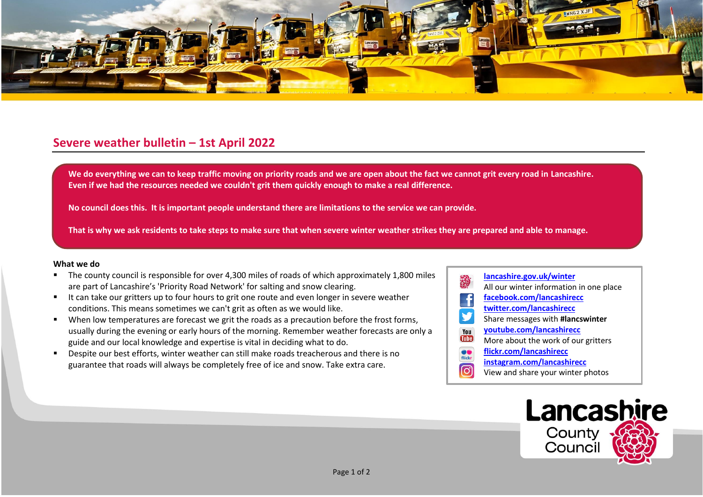

## **Severe weather bulletin – 1st April 2022**

We do everything we can to keep traffic moving on priority roads and we are open about the fact we cannot grit every road in Lancashire. **Even if we had the resources needed we couldn't grit them quickly enough to make a real difference.**

**No council does this. It is important people understand there are limitations to the service we can provide.**

**That is why we ask residents to take steps to make sure that when severe winter weather strikes they are prepared and able to manage.**

## **What we do**

- The county council is responsible for over 4,300 miles of roads of which approximately 1,800 miles are part of Lancashire's 'Priority Road Network' for salting and snow clearing.
- It can take our gritters up to four hours to grit one route and even longer in severe weather conditions. This means sometimes we can't grit as often as we would like.
- When low temperatures are forecast we grit the roads as a precaution before the frost forms, usually during the evening or early hours of the morning. Remember weather forecasts are only a guide and our local knowledge and expertise is vital in deciding what to do.
- Despite our best efforts, winter weather can still make roads treacherous and there is no guarantee that roads will always be completely free of ice and snow. Take extra care.
- **[lancashire.gov.uk/winter](http://www.lancashire.gov.uk/winter)** All our winter information in one place **[facebook.com/lancashirecc](http://www.facebook.com/lancashirecc) [twitter.com/lancashirecc](http://www.twitter.com/lancashirecc)** y Share messages with **#lancswinter [youtube.com/lancashirecc](http://www.youtube.com/lancashirecc)** You **Tilte** More about the work of our gritters  $\bullet$ **[flickr.com/lancashirecc](http://www.flickr.com/lancashirecc)** flickr **[instagram.com/lancashirecc](http://www.instagram.com/lancashirecc)** ြင View and share your winter photos